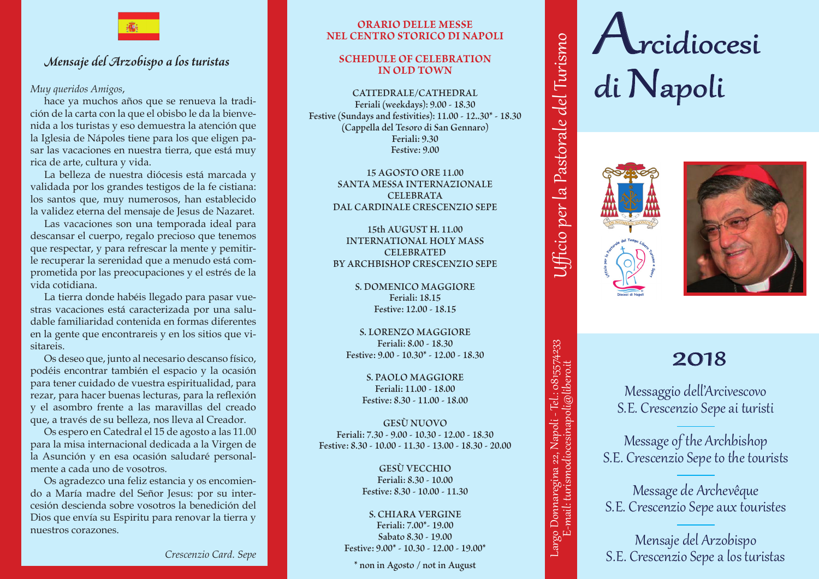

# *Mensaje del Arzobispo a los turistas Mensaje del Arzobispo a los turistas*

*Muy queridos Amigos*,

hace ya muchos años que se renueva la tradición de la carta con la que el obisbo le da la bienve-*Comment belle notre terre et comment son immense*  nida a los turistas y eso demuestra la atención que *patrimoine artistique et culturel, les visiteurs peuvent*  la Iglesia de Nápoles tiene para los que eligen pasar las vacaciones en nuestra tierra, que está muy rica de arte, cultura y vida. *Je tiens à l'arme de récultura y vida.*<br>Le production de l'arme de l'arme de l'arme de l'arme de l'arme de l'arme de l'arme de l'arme de l'

La belleza de nuestra diócesis está marcada y validada por los grandes testigos de la fe cistiana: *naire, vous ne pouvez pas toujours parvenir et, invec,*  los santos que, muy numerosos, han establecido la validez eterna del mensaje de Jesus de Nazaret.

Las vacaciones son una temporada ideal para descansar el cuerpo, regalo precioso que tenemos que respectar, y para refrescar la mente y pemitir-*dinaire», la suite de Jésus à travers la beauté de la*  le recuperar la serenidad que a menudo está comprometida por las preocupaciones y el estrés de la<br>*vida cotidiona* vida cotidiana.

La tierra donde habéis llegado para pasar vue-*Pendant ce temps, libre des professions qui nous*  stras vacaciones está caracterizada por una saludable familiaridad contenida en formas diferentes en la gente que encontrareis y en los sitios que visitareis. *Avec Jésus en face de nous, nous sommes certains de* 

Os deseo que, junto al necesario descanso físico, podéis encontrar también el espacio y la ocasión podels encontrar también er espacio y la ocasión para tener cuidado de vuestra espiritualidad, para rezar, para hacer buenas lecturas, para la reflexión *joie, où le sens d'aujourd'hui devient clair et joyeux.* y el asombro frente a las maravillas del creado *Ne pas oublier que le Seigneur a besoin de nous*  que, a través de su belleza, nos lleva al Creador. *toujours marcher sur les chemins de la beauté, de l'émer-*

Os espero en Catedral el 15 de agosto a las 11.00 para la misa internacional dedicada a la Virgen de *Suivons-le, dans ce temps de paix et de rafraîchisse*la Asunción y en esa ocasión saludaré personalmente a cada uno de vosotros.

nente a cada uno de vosotros.<br>Os agradezco una feliz estancia y os encomiendo a María madre del Señor Jesus: por su inter-*Je l'espère de vous rencontrer tous et de vous em*cesión descienda sobre vosotros la benedición del *brasser le 15 Août, dans la cathédrale, à h. 11,00, à*  Dios que envía su Espiritu para renovar la tierra y nuestros corazones.

## **Orario delle Messe OrariO delle Messe nel Centro Storico di Napoli nel CentrO stOriCO di napOli**

## **Schedule of celebration sChedule Of CelebratiOn in old town in Old tOwn**

**CATTEDRALE/CATHEDRAL CATTEDRALE/CATHEDRAL: Feriali (weekdays): 9.00 - 18.30 Feriali (weekdays): 9.00 - 18.30 Festive (Sundays and festivities): 11.00 - 12..30\* - 18.30 Festive (Sundays and festivities): 11.00 - 12..30\* - 18.30 (Cappella del Tesoro di San Gennaro) (Capp. Tesoro S. Gennaro) Feriali: 9.30 Feriali: 9.30 Festive: 9.00 Festive: 9.00**

> **15 AGOSTO ORE 11.00 15 AGOSTO ORE 11.00 SANTA MESSA INTERNAZIONALE S.MESSA INTERNAZIONALE CELEBRATA CELEBRATA DAL CARDINALE CRESCENZIO SEPE DAL CARDINALE CRESCENZIO SEPE**

**15th AUGUST H. 11.00 15TH AUGUST H.11.00 INTERNATIONAL HOLY MASS INTERNATIONAL HOLY MASS CELEBRATED CELEBRATED BY ARCHBISHOP CRESCENZIO SEPE BY ARCHBISHOP CRESCENZIO SEPE**

> **S. DOMENICO MAGGIORE S. DOMENICO MAGGIORE: Feriali: 18.15 feriali: 18.15 Festive: 12.00 - 18.15 Festive: 12.00 - 18.15**

**S. LORENZO MAGGIORE S. LORENZO MAGGIORE: Feriali: 8.00 - 18.30 feriali: 8.00 - 18.30 Festive: 9.00 - 10.30\* - 12.00 - 18.30 Festive: 9.00 - 10.30\* - 12.00 - 18.30**

> **S. PAOLO MAGGIORE S. PAOLO MAGGIORE: Feriali: 11.00 - 18.00 feriali: 11.00 - 18.00 Festive: 8.30 - 11.00 - 18.00 Festive: 8.30 - 11.00 - 18.00**

**GESù NUOVO GESU' NUOVO: Feriali: 7.30 - 9.00 - 10.30 - 12.00 - 18.30 feriali: 7.30 - 9.00 - 10.30 - 12.00 - 18.30 Festive: 8.30 - 10.00 - 11.30 - 13.00 - 18.30 - 20.00 Festive: 8.30 - 10.00 - 11.30 - 13.00 - 18.30 - 20.00**

> **GESù VECCHIO GESU' VECCHIO Feriali: 8.30 - 10.00 feriali: 8.30 - 10.00 Festive: 8.30 - 10.00 - 11.30 Festive: 8.30 - 10.00 - 11.30**

**S. CHIARA VERGINE S. CHIARA VERGINE: Feriali: 7.00\*- 19.00 feriali: 7.00 \*- 19.00 Sabato 8.30 - 19.00 sabato 8.30 - 19.00 Festive: 9.00\* - 10.30 - 12.00 - 19.00\* Festive: 9.00\* - 10.30 - 12.00 - 19.00 \* Example 19.00**<br> **largo 3.00\*** - 10.30 - 12.00 - 19.00\*<br> **largo in Agosto** / not in August

**\* non in Agosto / not in August**

# Arcidiocesi di Napoli **Arcidiocesi di** *N***apoli**



donnaregia<br>22 **anistratist**<br>22 **anistratists** Largo Donnaregina 22, Napoli - Tel.:<br>E-mail: turismodiocesinapoli@

mail: t

Largo Donnaregina 22, Napoli - Tel.: 0815574233

**tel.: 0815574233** 

0815574233

Tel.:

**e-mail: turismodiocesinapoli@libero.it Ufficio per la Pastorale del Turismo**

E-mail: turismodiocesinapoli@libero.it Ufficio per la Pastorale del Turismo

Ufficio per la

Pastorale del Turismo



# 2018 **Messaggio dell'Arcivescovo**

Messaggio dell'Arcivescovo S.E. Crescenzio Sepe ai turisti **S.E. Crescenzia** Sepe $\cdot$  Sepe $\cdot$  Sepe $\cdot$  Sepe $\cdot$  Sepe $\cdot$  Sepe $\cdot$  Sepe $\cdot$  Sepe $\cdot$  Sepe $\cdot$  Sepe $\cdot$  Sepe $\cdot$  Sepe $\cdot$  Sepe $\cdot$  Sepe $\cdot$  Sepe $\cdot$  Sepe $\cdot$  Sepe $\cdot$  Sepe $\cdot$  Sepe $\cdot$  Sepe $\cdot$  Sepe $\cdot$  Sepe $\cdot$  Sepe $\$ lo dell'Arc<br>-

Message of the Archbishop S.E. Crescenzio Sepe to the tourists **Message de Archevêque**  $\overline{\overline{\overline{C}}\cup\overline{A}}$   $\overline{\overline{C}}$ ge of the Archb

Message de Archevêque S.E. Crescenzio Sepe aux touristes **Mensaje del Arzobispo S.E. Crescenzio Seperanti A.** age de Archev

Mensaje del Arzobispo S. E. Crescenzio Sepealos turistas **S.E. Crescenzio Sepe** a los del Arzoc<br>Los del

*Crescenzio Card. Sepe*